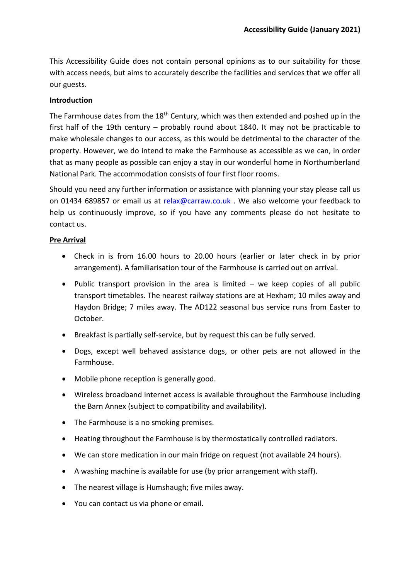This Accessibility Guide does not contain personal opinions as to our suitability for those with access needs, but aims to accurately describe the facilities and services that we offer all our guests.

# **Introduction**

The Farmhouse dates from the  $18<sup>th</sup>$  Century, which was then extended and poshed up in the first half of the 19th century – probably round about 1840. It may not be practicable to make wholesale changes to our access, as this would be detrimental to the character of the property. However, we do intend to make the Farmhouse as accessible as we can, in order that as many people as possible can enjoy a stay in our wonderful home in Northumberland National Park. The accommodation consists of four first floor rooms.

Should you need any further information or assistance with planning your stay please call us on 01434 689857 or email us at [relax@carraw.co.uk](mailto:relax@carraw.co.uk) . We also welcome your feedback to help us continuously improve, so if you have any comments please do not hesitate to contact us.

# **Pre Arrival**

- Check in is from 16.00 hours to 20.00 hours (earlier or later check in by prior arrangement). A familiarisation tour of the Farmhouse is carried out on arrival.
- Public transport provision in the area is limited we keep copies of all public transport timetables. The nearest railway stations are at Hexham; 10 miles away and Haydon Bridge; 7 miles away. The AD122 seasonal bus service runs from Easter to October.
- Breakfast is partially self-service, but by request this can be fully served.
- Dogs, except well behaved assistance dogs, or other pets are not allowed in the Farmhouse.
- Mobile phone reception is generally good.
- Wireless broadband internet access is available throughout the Farmhouse including the Barn Annex (subject to compatibility and availability).
- The Farmhouse is a no smoking premises.
- Heating throughout the Farmhouse is by thermostatically controlled radiators.
- We can store medication in our main fridge on request (not available 24 hours).
- A washing machine is available for use (by prior arrangement with staff).
- The nearest village is Humshaugh; five miles away.
- You can contact us via phone or email.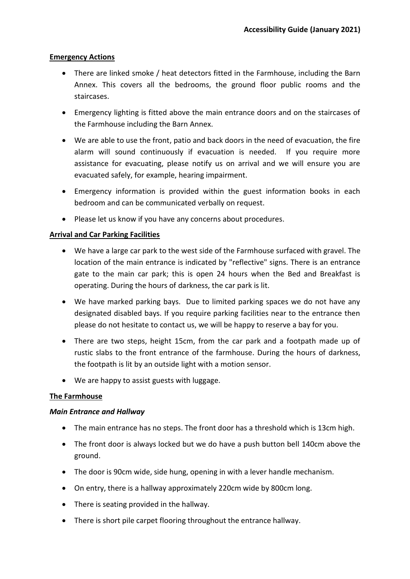#### **Emergency Actions**

- There are linked smoke / heat detectors fitted in the Farmhouse, including the Barn Annex. This covers all the bedrooms, the ground floor public rooms and the staircases.
- Emergency lighting is fitted above the main entrance doors and on the staircases of the Farmhouse including the Barn Annex.
- We are able to use the front, patio and back doors in the need of evacuation, the fire alarm will sound continuously if evacuation is needed. If you require more assistance for evacuating, please notify us on arrival and we will ensure you are evacuated safely, for example, hearing impairment.
- Emergency information is provided within the guest information books in each bedroom and can be communicated verbally on request.
- Please let us know if you have any concerns about procedures.

# **Arrival and Car Parking Facilities**

- We have a large car park to the west side of the Farmhouse surfaced with gravel. The location of the main entrance is indicated by "reflective" signs. There is an entrance gate to the main car park; this is open 24 hours when the Bed and Breakfast is operating. During the hours of darkness, the car park is lit.
- We have marked parking bays. Due to limited parking spaces we do not have any designated disabled bays. If you require parking facilities near to the entrance then please do not hesitate to contact us, we will be happy to reserve a bay for you.
- There are two steps, height 15cm, from the car park and a footpath made up of rustic slabs to the front entrance of the farmhouse. During the hours of darkness, the footpath is lit by an outside light with a motion sensor.
- We are happy to assist guests with luggage.

# **The Farmhouse**

# *Main Entrance and Hallway*

- The main entrance has no steps. The front door has a threshold which is 13cm high.
- The front door is always locked but we do have a push button bell 140cm above the ground.
- The door is 90cm wide, side hung, opening in with a lever handle mechanism.
- On entry, there is a hallway approximately 220cm wide by 800cm long.
- There is seating provided in the hallway.
- There is short pile carpet flooring throughout the entrance hallway.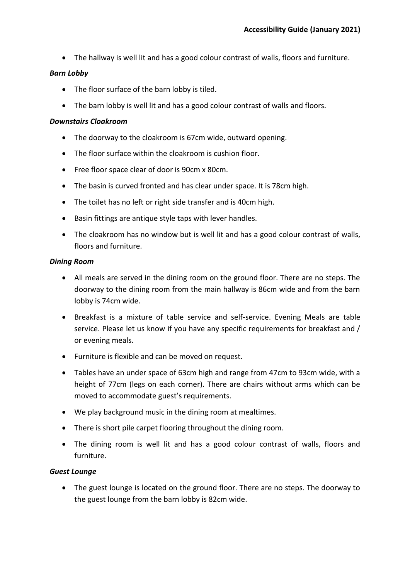• The hallway is well lit and has a good colour contrast of walls, floors and furniture.

# *Barn Lobby*

- The floor surface of the barn lobby is tiled.
- The barn lobby is well lit and has a good colour contrast of walls and floors.

### *Downstairs Cloakroom*

- The doorway to the cloakroom is 67cm wide, outward opening.
- The floor surface within the cloakroom is cushion floor.
- Free floor space clear of door is 90cm x 80cm.
- The basin is curved fronted and has clear under space. It is 78cm high.
- The toilet has no left or right side transfer and is 40cm high.
- Basin fittings are antique style taps with lever handles.
- The cloakroom has no window but is well lit and has a good colour contrast of walls, floors and furniture.

### *Dining Room*

- All meals are served in the dining room on the ground floor. There are no steps. The doorway to the dining room from the main hallway is 86cm wide and from the barn lobby is 74cm wide.
- Breakfast is a mixture of table service and self-service. Evening Meals are table service. Please let us know if you have any specific requirements for breakfast and / or evening meals.
- Furniture is flexible and can be moved on request.
- Tables have an under space of 63cm high and range from 47cm to 93cm wide, with a height of 77cm (legs on each corner). There are chairs without arms which can be moved to accommodate guest's requirements.
- We play background music in the dining room at mealtimes.
- There is short pile carpet flooring throughout the dining room.
- The dining room is well lit and has a good colour contrast of walls, floors and furniture.

# *Guest Lounge*

• The guest lounge is located on the ground floor. There are no steps. The doorway to the guest lounge from the barn lobby is 82cm wide.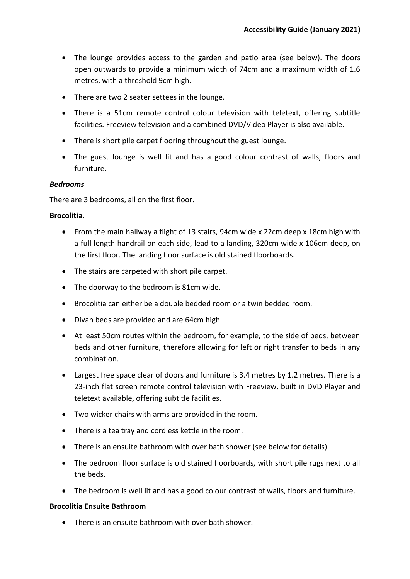- The lounge provides access to the garden and patio area (see below). The doors open outwards to provide a minimum width of 74cm and a maximum width of 1.6 metres, with a threshold 9cm high.
- There are two 2 seater settees in the lounge.
- There is a 51cm remote control colour television with teletext, offering subtitle facilities. Freeview television and a combined DVD/Video Player is also available.
- There is short pile carpet flooring throughout the guest lounge.
- The guest lounge is well lit and has a good colour contrast of walls, floors and furniture.

# *Bedrooms*

There are 3 bedrooms, all on the first floor.

### **Brocolitia.**

- From the main hallway a flight of 13 stairs, 94cm wide x 22cm deep x 18cm high with a full length handrail on each side, lead to a landing, 320cm wide x 106cm deep, on the first floor. The landing floor surface is old stained floorboards.
- The stairs are carpeted with short pile carpet.
- The doorway to the bedroom is 81cm wide.
- Brocolitia can either be a double bedded room or a twin bedded room.
- Divan beds are provided and are 64cm high.
- At least 50cm routes within the bedroom, for example, to the side of beds, between beds and other furniture, therefore allowing for left or right transfer to beds in any combination.
- Largest free space clear of doors and furniture is 3.4 metres by 1.2 metres. There is a 23-inch flat screen remote control television with Freeview, built in DVD Player and teletext available, offering subtitle facilities.
- Two wicker chairs with arms are provided in the room.
- There is a tea tray and cordless kettle in the room.
- There is an ensuite bathroom with over bath shower (see below for details).
- The bedroom floor surface is old stained floorboards, with short pile rugs next to all the beds.
- The bedroom is well lit and has a good colour contrast of walls, floors and furniture.

#### **Brocolitia Ensuite Bathroom**

• There is an ensuite bathroom with over bath shower.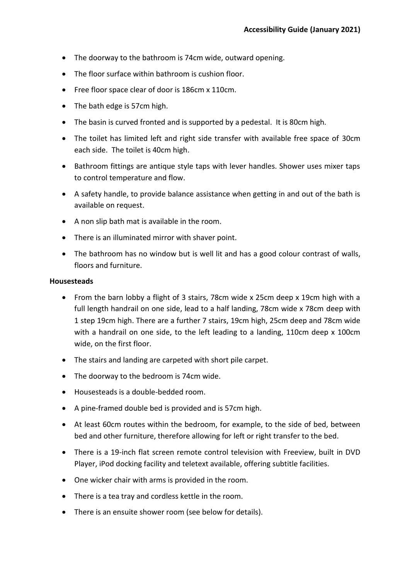- The doorway to the bathroom is 74cm wide, outward opening.
- The floor surface within bathroom is cushion floor.
- Free floor space clear of door is 186cm x 110cm.
- The bath edge is 57cm high.
- The basin is curved fronted and is supported by a pedestal. It is 80cm high.
- The toilet has limited left and right side transfer with available free space of 30cm each side. The toilet is 40cm high.
- Bathroom fittings are antique style taps with lever handles. Shower uses mixer taps to control temperature and flow.
- A safety handle, to provide balance assistance when getting in and out of the bath is available on request.
- A non slip bath mat is available in the room.
- There is an illuminated mirror with shaver point.
- The bathroom has no window but is well lit and has a good colour contrast of walls, floors and furniture.

### **Housesteads**

- From the barn lobby a flight of 3 stairs, 78cm wide x 25cm deep x 19cm high with a full length handrail on one side, lead to a half landing, 78cm wide x 78cm deep with 1 step 19cm high. There are a further 7 stairs, 19cm high, 25cm deep and 78cm wide with a handrail on one side, to the left leading to a landing, 110cm deep x 100cm wide, on the first floor.
- The stairs and landing are carpeted with short pile carpet.
- The doorway to the bedroom is 74cm wide.
- Housesteads is a double-bedded room.
- A pine-framed double bed is provided and is 57cm high.
- At least 60cm routes within the bedroom, for example, to the side of bed, between bed and other furniture, therefore allowing for left or right transfer to the bed.
- There is a 19-inch flat screen remote control television with Freeview, built in DVD Player, iPod docking facility and teletext available, offering subtitle facilities.
- One wicker chair with arms is provided in the room.
- There is a tea tray and cordless kettle in the room.
- There is an ensuite shower room (see below for details).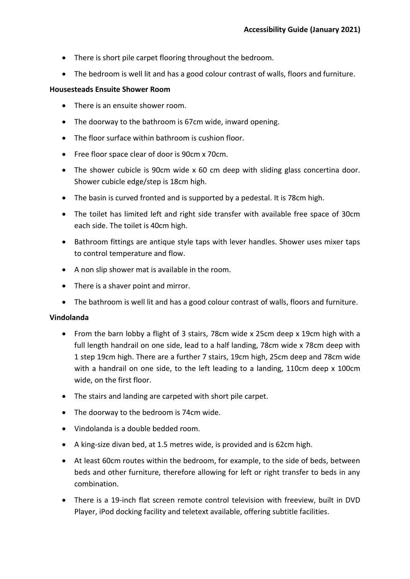- There is short pile carpet flooring throughout the bedroom.
- The bedroom is well lit and has a good colour contrast of walls, floors and furniture.

### **Housesteads Ensuite Shower Room**

- There is an ensuite shower room.
- The doorway to the bathroom is 67cm wide, inward opening.
- The floor surface within bathroom is cushion floor.
- Free floor space clear of door is 90cm x 70cm.
- The shower cubicle is 90cm wide x 60 cm deep with sliding glass concertina door. Shower cubicle edge/step is 18cm high.
- The basin is curved fronted and is supported by a pedestal. It is 78cm high.
- The toilet has limited left and right side transfer with available free space of 30cm each side. The toilet is 40cm high.
- Bathroom fittings are antique style taps with lever handles. Shower uses mixer taps to control temperature and flow.
- A non slip shower mat is available in the room.
- There is a shaver point and mirror.
- The bathroom is well lit and has a good colour contrast of walls, floors and furniture.

# **Vindolanda**

- From the barn lobby a flight of 3 stairs, 78cm wide x 25cm deep x 19cm high with a full length handrail on one side, lead to a half landing, 78cm wide x 78cm deep with 1 step 19cm high. There are a further 7 stairs, 19cm high, 25cm deep and 78cm wide with a handrail on one side, to the left leading to a landing, 110cm deep x 100cm wide, on the first floor.
- The stairs and landing are carpeted with short pile carpet.
- The doorway to the bedroom is 74cm wide.
- Vindolanda is a double bedded room.
- A king-size divan bed, at 1.5 metres wide, is provided and is 62cm high.
- At least 60cm routes within the bedroom, for example, to the side of beds, between beds and other furniture, therefore allowing for left or right transfer to beds in any combination.
- There is a 19-inch flat screen remote control television with freeview, built in DVD Player, iPod docking facility and teletext available, offering subtitle facilities.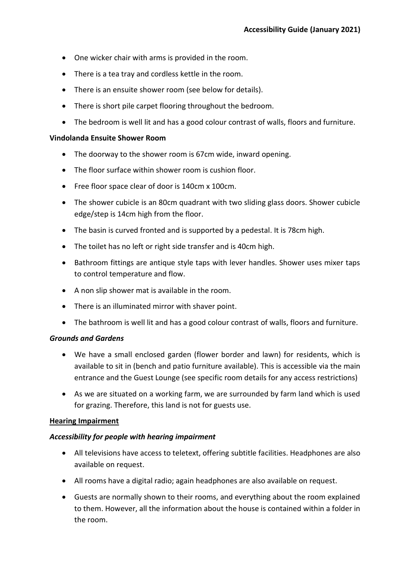- One wicker chair with arms is provided in the room.
- There is a tea tray and cordless kettle in the room.
- There is an ensuite shower room (see below for details).
- There is short pile carpet flooring throughout the bedroom.
- The bedroom is well lit and has a good colour contrast of walls, floors and furniture.

### **Vindolanda Ensuite Shower Room**

- The doorway to the shower room is 67cm wide, inward opening.
- The floor surface within shower room is cushion floor.
- Free floor space clear of door is 140cm x 100cm.
- The shower cubicle is an 80cm quadrant with two sliding glass doors. Shower cubicle edge/step is 14cm high from the floor.
- The basin is curved fronted and is supported by a pedestal. It is 78cm high.
- The toilet has no left or right side transfer and is 40cm high.
- Bathroom fittings are antique style taps with lever handles. Shower uses mixer taps to control temperature and flow.
- A non slip shower mat is available in the room.
- There is an illuminated mirror with shaver point.
- The bathroom is well lit and has a good colour contrast of walls, floors and furniture.

# *Grounds and Gardens*

- We have a small enclosed garden (flower border and lawn) for residents, which is available to sit in (bench and patio furniture available). This is accessible via the main entrance and the Guest Lounge (see specific room details for any access restrictions)
- As we are situated on a working farm, we are surrounded by farm land which is used for grazing. Therefore, this land is not for guests use.

# **Hearing Impairment**

# *Accessibility for people with hearing impairment*

- All televisions have access to teletext, offering subtitle facilities. Headphones are also available on request.
- All rooms have a digital radio; again headphones are also available on request.
- Guests are normally shown to their rooms, and everything about the room explained to them. However, all the information about the house is contained within a folder in the room.